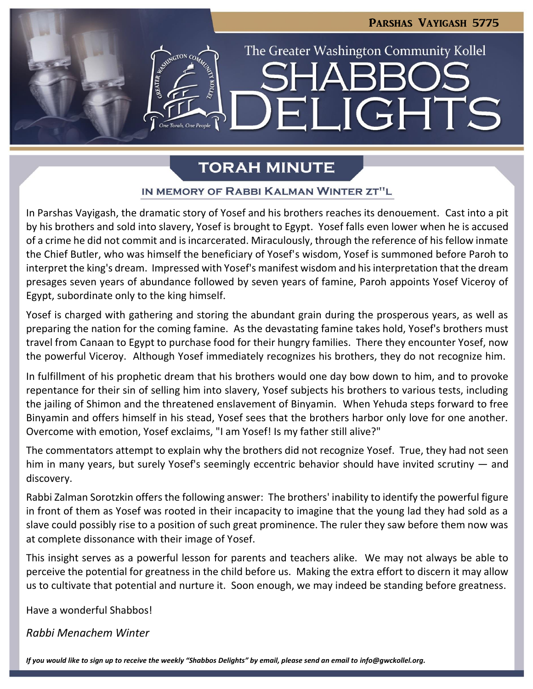# Parshas Vayigash 5775 The Greater Washington Community Kollel **JGHTS**

# **TORAH MINUTE**

### IN MEMORY OF RABBI KALMAN WINTER ZT"L

In Parshas Vayigash, the dramatic story of Yosef and his brothers reaches its denouement. Cast into a pit by his brothers and sold into slavery, Yosef is brought to Egypt. Yosef falls even lower when he is accused of a crime he did not commit and is incarcerated. Miraculously, through the reference of his fellow inmate the Chief Butler, who was himself the beneficiary of Yosef's wisdom, Yosef is summoned before Paroh to interpret the king's dream. Impressed with Yosef's manifest wisdom and his interpretation that the dream presages seven years of abundance followed by seven years of famine, Paroh appoints Yosef Viceroy of Egypt, subordinate only to the king himself.

Yosef is charged with gathering and storing the abundant grain during the prosperous years, as well as preparing the nation for the coming famine. As the devastating famine takes hold, Yosef's brothers must travel from Canaan to Egypt to purchase food for their hungry families. There they encounter Yosef, now the powerful Viceroy. Although Yosef immediately recognizes his brothers, they do not recognize him.

In fulfillment of his prophetic dream that his brothers would one day bow down to him, and to provoke repentance for their sin of selling him into slavery, Yosef subjects his brothers to various tests, including the jailing of Shimon and the threatened enslavement of Binyamin. When Yehuda steps forward to free Binyamin and offers himself in his stead, Yosef sees that the brothers harbor only love for one another. Overcome with emotion, Yosef exclaims, "I am Yosef! Is my father still alive?"

The commentators attempt to explain why the brothers did not recognize Yosef. True, they had not seen him in many years, but surely Yosef's seemingly eccentric behavior should have invited scrutiny — and discovery.

Rabbi Zalman Sorotzkin offers the following answer: The brothers' inability to identify the powerful figure in front of them as Yosef was rooted in their incapacity to imagine that the young lad they had sold as a slave could possibly rise to a position of such great prominence. The ruler they saw before them now was at complete dissonance with their image of Yosef.

This insight serves as a powerful lesson for parents and teachers alike. We may not always be able to perceive the potential for greatness in the child before us. Making the extra effort to discern it may allow us to cultivate that potential and nurture it. Soon enough, we may indeed be standing before greatness.

Have a wonderful Shabbos!

*Rabbi Menachem Winter*

*If you would like to sign up to receive the weekly "Shabbos Delights" by email, please send an email to [info@gwckollel.org.](mailto:info@gwckollel.org)*